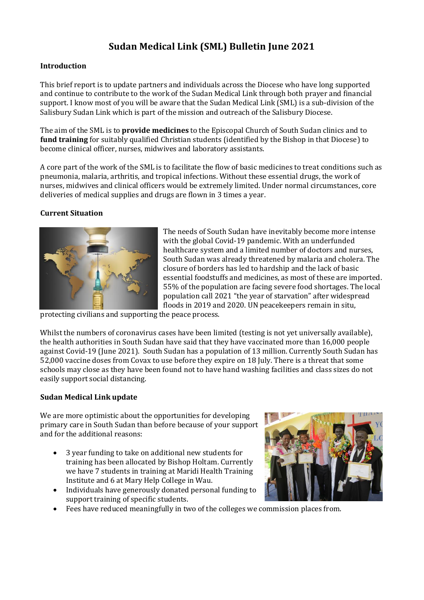# **Sudan Medical Link (SML) Bulletin June 2021**

### **Introduction**

This brief report is to update partners and individuals across the Diocese who have long supported and continue to contribute to the work of the Sudan Medical Link through both prayer and financial support. I know most of you will be aware that the Sudan Medical Link (SML) is a sub-division of the Salisbury Sudan Link which is part of the mission and outreach of the Salisbury Diocese.

The aim of the SML is to **provide medicines** to the Episcopal Church of South Sudan clinics and to **fund training** for suitably qualified Christian students (identified by the Bishop in that Diocese) to become clinical officer, nurses, midwives and laboratory assistants.

A core part of the work of the SML is to facilitate the flow of basic medicines to treat conditions such as pneumonia, malaria, arthritis, and tropical infections. Without these essential drugs, the work of nurses, midwives and clinical officers would be extremely limited. Under normal circumstances, core deliveries of medical supplies and drugs are flown in 3 times a year.

#### **Current Situation**



The needs of South Sudan have inevitably become more intense with the global Covid-19 pandemic. With an underfunded healthcare system and a limited number of doctors and nurses, South Sudan was already threatened by malaria and cholera. The closure of borders has led to hardship and the lack of basic essential foodstuffs and medicines, as most of these are imported. 55% of the population are facing severe food shortages. The local population call 2021 "the year of starvation" after widespread floods in 2019 and 2020. UN peacekeepers remain in situ,

protecting civilians and supporting the peace process.

Whilst the numbers of coronavirus cases have been limited (testing is not yet universally available), the health authorities in South Sudan have said that they have vaccinated more than 16,000 people against Covid-19 (June 2021). South Sudan has a population of 13 million. Currently South Sudan has 52,000 vaccine doses from Covax to use before they expire on 18 July. There is a threat that some schools may close as they have been found not to have hand washing facilities and class sizes do not easily support social distancing.

### **Sudan Medical Link update**

We are more optimistic about the opportunities for developing primary care in South Sudan than before because of your support and for the additional reasons:

- 3 year funding to take on additional new students for training has been allocated by Bishop Holtam. Currently we have 7 students in training at Maridi Health Training Institute and 6 at Mary Help College in Wau.
- Individuals have generously donated personal funding to support training of specific students.
- 
- Fees have reduced meaningfully in two of the colleges we commission places from.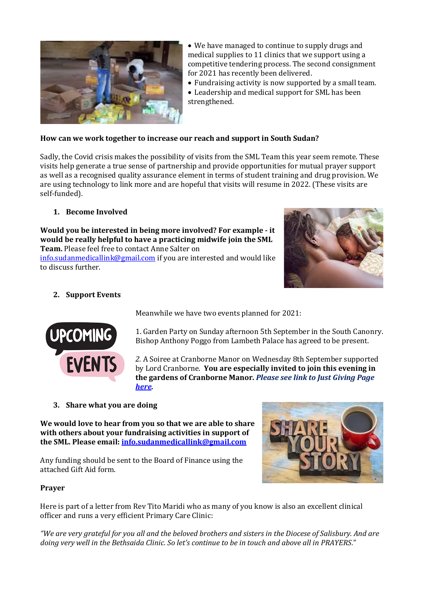

• We have managed to continue to supply drugs and medical supplies to 11 clinics that we support using a competitive tendering process. The second consignment for 2021 has recently been delivered.

• Fundraising activity is now supported by a small team.

• Leadership and medical support for SML has been strengthened.

### **How can we work together to increase our reach and support in South Sudan?**

Sadly, the Covid crisis makes the possibility of visits from the SML Team this year seem remote. These visits help generate a true sense of partnership and provide opportunities for mutual prayer support as well as a recognised quality assurance element in terms of student training and drug provision. We are using technology to link more and are hopeful that visits will resume in 2022. (These visits are self-funded).

## **1. Become Involved**

## **Would you be interested in being more involved? For example - it would be really helpful to have a practicing midwife join the SML**

**Team.** Please feel free to contact Anne Salter on

[info.sudanmedicallink@gmail.com](mailto:info.sudanmedicallink@gmail.com) if you are interested and would like to discuss further.



## **2. Support Events**



Meanwhile we have two events planned for 2021:

1. Garden Party on Sunday afternoon 5th September in the South Canonry. Bishop Anthony Poggo from Lambeth Palace has agreed to be present.

*2.* A Soiree at Cranborne Manor on Wednesday 8th September supported by Lord Cranborne. **You are especially invited to join this evening in the gardens of Cranborne Manor.** *Please see link to Just Giving Page [here.](https://www.justgiving.com/fundraising/sudanmedicallink?utm_source=Sharethis&utm_medium=fundraising&utm_content=sudanmedicallink&utm_campaign=pfp-email&utm_term=511ab00202db4b9aa0b06c5565b6f871.)*

**3. Share what you are doing**

**We would love to hear from you so that we are able to share with others about your fundraising activities in support of the SML. Please email[: info.sudanmedicallink@gmail.com](mailto:info.sudanmedicallink@gmail.com)**

Any funding should be sent to the Board of Finance using the attached Gift Aid form.



### **Prayer**

Here is part of a letter from Rev Tito Maridi who as many of you know is also an excellent clinical officer and runs a very efficient Primary Care Clinic:

*"We are very grateful for you all and the beloved brothers and sisters in the Diocese of Salisbury. And are doing very well in the Bethsaida Clinic. So let's continue to be in touch and above all in PRAYERS.*"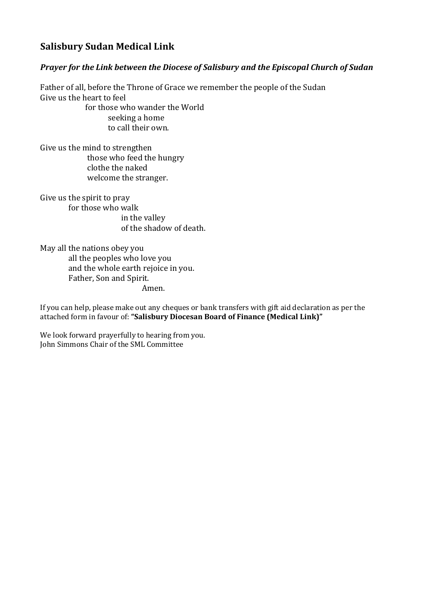## **Salisbury Sudan Medical Link**

## *Prayer for the Link between the Diocese of Salisbury and the Episcopal Church of Sudan*

Father of all, before the Throne of Grace we remember the people of the Sudan Give us the heart to feel

 for those who wander the World seeking a home to call their own.

Give us the mind to strengthen those who feed the hungry clothe the naked welcome the stranger.

Give us the spirit to pray for those who walk in the valley of the shadow of death.

May all the nations obey you all the peoples who love you and the whole earth rejoice in you. Father, Son and Spirit. Amen.

If you can help, please make out any cheques or bank transfers with gift aid declaration as per the attached form in favour of: **"Salisbury Diocesan Board of Finance (Medical Link)"**

We look forward prayerfully to hearing from you. John Simmons Chair of the SML Committee